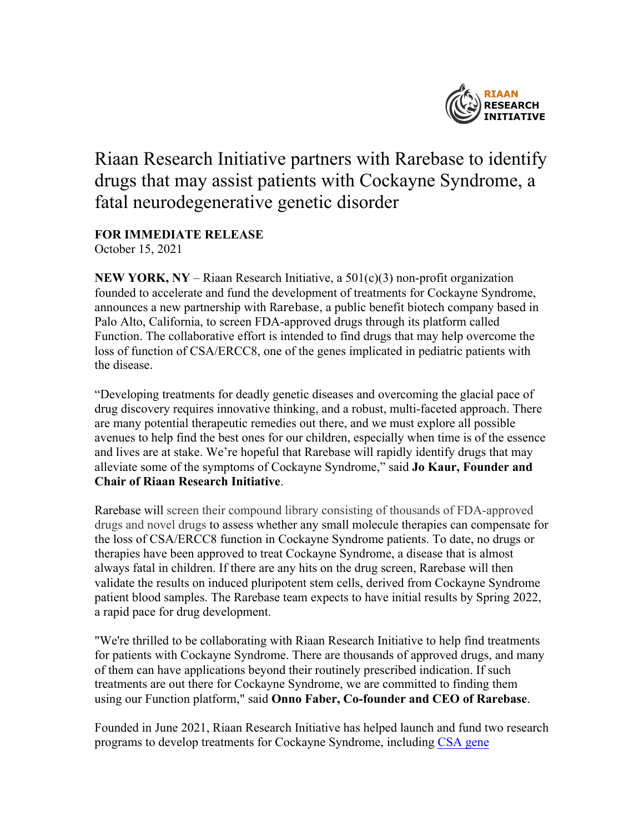

## Riaan Research Initiative partners with Rarebase to identify drugs that may assist patients with Cockayne Syndrome, a fatal neurodegenerative genetic disorder

## **FOR IMMEDIATE RELEASE**

October 15, 2021

**NEW YORK, NY** – Riaan Research Initiative, a  $501(c)(3)$  non-profit organization founded to accelerate and fund the development of treatments for Cockayne Syndrome, announces a new partnership with Rarebase, a public benefit biotech company based in Palo Alto, California, to screen FDA-approved drugs through its platform called Function. The collaborative effort is intended to find drugs that may help overcome the loss of function of CSA/ERCC8, one of the genes implicated in pediatric patients with the disease.

"Developing treatments for deadly genetic diseases and overcoming the glacial pace of drug discovery requires innovative thinking, and a robust, multi-faceted approach. There are many potential therapeutic remedies out there, and we must explore all possible avenues to help find the best ones for our children, especially when time is of the essence and lives are at stake. We're hopeful that Rarebase will rapidly identify drugs that may alleviate some of the symptoms of Cockayne Syndrome," said **Jo Kaur, Founder and Chair of Riaan Research Initiative**.

Rarebase will screen their compound library consisting of thousands of FDA-approved drugs and novel drugs to assess whether any small molecule therapies can compensate for the loss of CSA/ERCC8 function in Cockayne Syndrome patients. To date, no drugs or therapies have been approved to treat Cockayne Syndrome, a disease that is almost always fatal in children. If there are any hits on the drug screen, Rarebase will then validate the results on induced pluripotent stem cells, derived from Cockayne Syndrome patient blood samples. The Rarebase team expects to have initial results by Spring 2022, a rapid pace for drug development.

"We're thrilled to be collaborating with Riaan Research Initiative to help find treatments for patients with Cockayne Syndrome. There are thousands of approved drugs, and many of them can have applications beyond their routinely prescribed indication. If such treatments are out there for Cockayne Syndrome, we are committed to finding them using our Function platform," said **Onno Faber, Co-founder and CEO of Rarebase**.

Founded in June 2021, Riaan Research Initiative has helped launch and fund two research programs to develop treatments for Cockayne Syndrome, including CSA gene